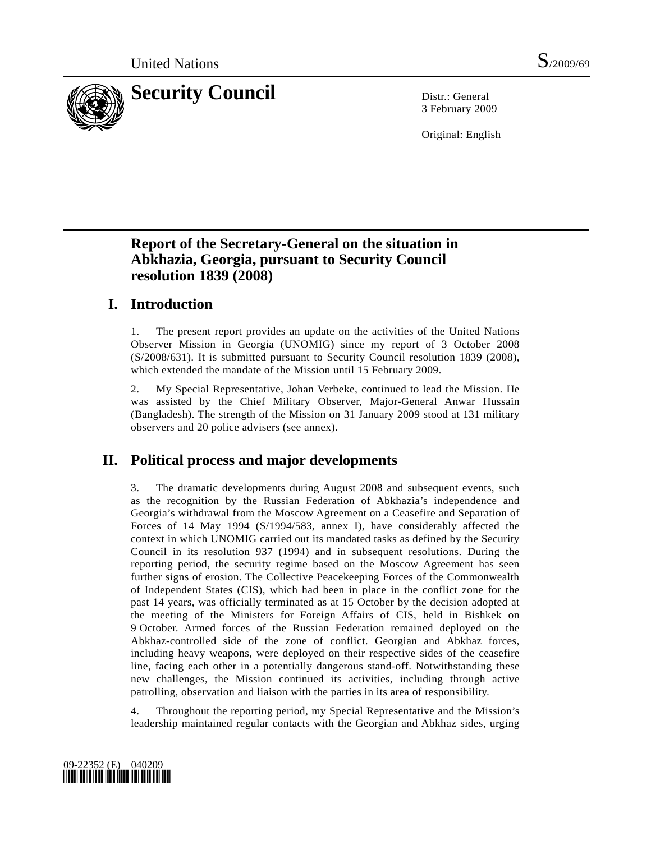

3 February 2009

Original: English

# **Report of the Secretary-General on the situation in Abkhazia, Georgia, pursuant to Security Council resolution 1839 (2008)**

# **I. Introduction**

1. The present report provides an update on the activities of the United Nations Observer Mission in Georgia (UNOMIG) since my report of 3 October 2008 (S/2008/631). It is submitted pursuant to Security Council resolution 1839 (2008), which extended the mandate of the Mission until 15 February 2009.

2. My Special Representative, Johan Verbeke, continued to lead the Mission. He was assisted by the Chief Military Observer, Major-General Anwar Hussain (Bangladesh). The strength of the Mission on 31 January 2009 stood at 131 military observers and 20 police advisers (see annex).

# **II. Political process and major developments**

3. The dramatic developments during August 2008 and subsequent events, such as the recognition by the Russian Federation of Abkhazia's independence and Georgia's withdrawal from the Moscow Agreement on a Ceasefire and Separation of Forces of 14 May 1994 (S/1994/583, annex I), have considerably affected the context in which UNOMIG carried out its mandated tasks as defined by the Security Council in its resolution 937 (1994) and in subsequent resolutions. During the reporting period, the security regime based on the Moscow Agreement has seen further signs of erosion. The Collective Peacekeeping Forces of the Commonwealth of Independent States (CIS), which had been in place in the conflict zone for the past 14 years, was officially terminated as at 15 October by the decision adopted at the meeting of the Ministers for Foreign Affairs of CIS, held in Bishkek on 9 October. Armed forces of the Russian Federation remained deployed on the Abkhaz-controlled side of the zone of conflict. Georgian and Abkhaz forces, including heavy weapons, were deployed on their respective sides of the ceasefire line, facing each other in a potentially dangerous stand-off. Notwithstanding these new challenges, the Mission continued its activities, including through active patrolling, observation and liaison with the parties in its area of responsibility.

4. Throughout the reporting period, my Special Representative and the Mission's leadership maintained regular contacts with the Georgian and Abkhaz sides, urging

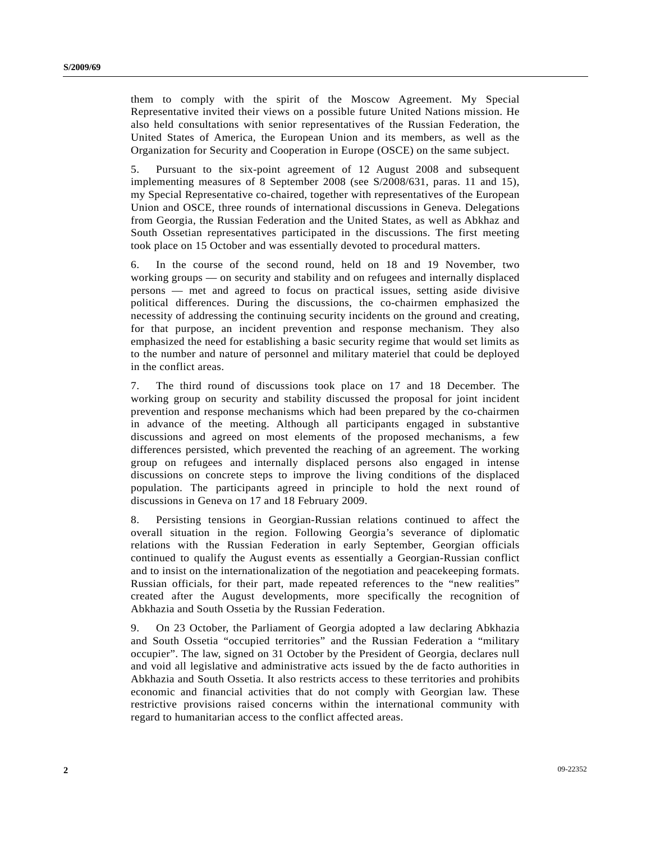them to comply with the spirit of the Moscow Agreement. My Special Representative invited their views on a possible future United Nations mission. He also held consultations with senior representatives of the Russian Federation, the United States of America, the European Union and its members, as well as the Organization for Security and Cooperation in Europe (OSCE) on the same subject.

5. Pursuant to the six-point agreement of 12 August 2008 and subsequent implementing measures of 8 September 2008 (see S/2008/631, paras. 11 and 15), my Special Representative co-chaired, together with representatives of the European Union and OSCE, three rounds of international discussions in Geneva. Delegations from Georgia, the Russian Federation and the United States, as well as Abkhaz and South Ossetian representatives participated in the discussions. The first meeting took place on 15 October and was essentially devoted to procedural matters.

6. In the course of the second round, held on 18 and 19 November, two working groups — on security and stability and on refugees and internally displaced persons — met and agreed to focus on practical issues, setting aside divisive political differences. During the discussions, the co-chairmen emphasized the necessity of addressing the continuing security incidents on the ground and creating, for that purpose, an incident prevention and response mechanism. They also emphasized the need for establishing a basic security regime that would set limits as to the number and nature of personnel and military materiel that could be deployed in the conflict areas.

7. The third round of discussions took place on 17 and 18 December. The working group on security and stability discussed the proposal for joint incident prevention and response mechanisms which had been prepared by the co-chairmen in advance of the meeting. Although all participants engaged in substantive discussions and agreed on most elements of the proposed mechanisms, a few differences persisted, which prevented the reaching of an agreement. The working group on refugees and internally displaced persons also engaged in intense discussions on concrete steps to improve the living conditions of the displaced population. The participants agreed in principle to hold the next round of discussions in Geneva on 17 and 18 February 2009.

8. Persisting tensions in Georgian-Russian relations continued to affect the overall situation in the region. Following Georgia's severance of diplomatic relations with the Russian Federation in early September, Georgian officials continued to qualify the August events as essentially a Georgian-Russian conflict and to insist on the internationalization of the negotiation and peacekeeping formats. Russian officials, for their part, made repeated references to the "new realities" created after the August developments, more specifically the recognition of Abkhazia and South Ossetia by the Russian Federation.

9. On 23 October, the Parliament of Georgia adopted a law declaring Abkhazia and South Ossetia "occupied territories" and the Russian Federation a "military occupier". The law, signed on 31 October by the President of Georgia, declares null and void all legislative and administrative acts issued by the de facto authorities in Abkhazia and South Ossetia. It also restricts access to these territories and prohibits economic and financial activities that do not comply with Georgian law. These restrictive provisions raised concerns within the international community with regard to humanitarian access to the conflict affected areas.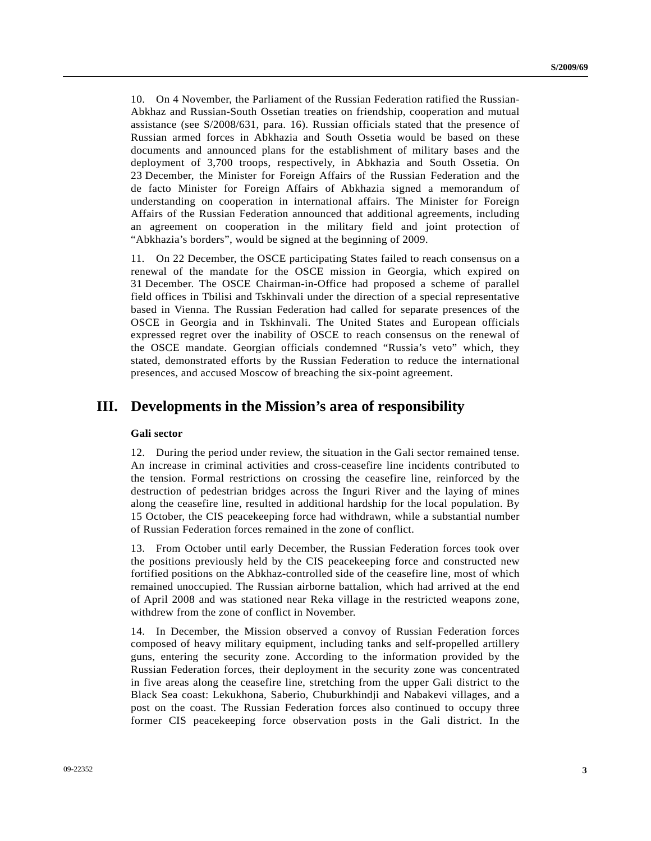10. On 4 November, the Parliament of the Russian Federation ratified the Russian-Abkhaz and Russian-South Ossetian treaties on friendship, cooperation and mutual assistance (see S/2008/631, para. 16). Russian officials stated that the presence of Russian armed forces in Abkhazia and South Ossetia would be based on these documents and announced plans for the establishment of military bases and the deployment of 3,700 troops, respectively, in Abkhazia and South Ossetia. On 23 December, the Minister for Foreign Affairs of the Russian Federation and the de facto Minister for Foreign Affairs of Abkhazia signed a memorandum of understanding on cooperation in international affairs. The Minister for Foreign Affairs of the Russian Federation announced that additional agreements, including an agreement on cooperation in the military field and joint protection of "Abkhazia's borders", would be signed at the beginning of 2009.

11. On 22 December, the OSCE participating States failed to reach consensus on a renewal of the mandate for the OSCE mission in Georgia, which expired on 31 December. The OSCE Chairman-in-Office had proposed a scheme of parallel field offices in Tbilisi and Tskhinvali under the direction of a special representative based in Vienna. The Russian Federation had called for separate presences of the OSCE in Georgia and in Tskhinvali. The United States and European officials expressed regret over the inability of OSCE to reach consensus on the renewal of the OSCE mandate. Georgian officials condemned "Russia's veto" which, they stated, demonstrated efforts by the Russian Federation to reduce the international presences, and accused Moscow of breaching the six-point agreement.

### **III. Developments in the Mission's area of responsibility**

#### **Gali sector**

12. During the period under review, the situation in the Gali sector remained tense. An increase in criminal activities and cross-ceasefire line incidents contributed to the tension. Formal restrictions on crossing the ceasefire line, reinforced by the destruction of pedestrian bridges across the Inguri River and the laying of mines along the ceasefire line, resulted in additional hardship for the local population. By 15 October, the CIS peacekeeping force had withdrawn, while a substantial number of Russian Federation forces remained in the zone of conflict.

13. From October until early December, the Russian Federation forces took over the positions previously held by the CIS peacekeeping force and constructed new fortified positions on the Abkhaz-controlled side of the ceasefire line, most of which remained unoccupied. The Russian airborne battalion, which had arrived at the end of April 2008 and was stationed near Reka village in the restricted weapons zone, withdrew from the zone of conflict in November.

14. In December, the Mission observed a convoy of Russian Federation forces composed of heavy military equipment, including tanks and self-propelled artillery guns, entering the security zone. According to the information provided by the Russian Federation forces, their deployment in the security zone was concentrated in five areas along the ceasefire line, stretching from the upper Gali district to the Black Sea coast: Lekukhona, Saberio, Chuburkhindji and Nabakevi villages, and a post on the coast. The Russian Federation forces also continued to occupy three former CIS peacekeeping force observation posts in the Gali district. In the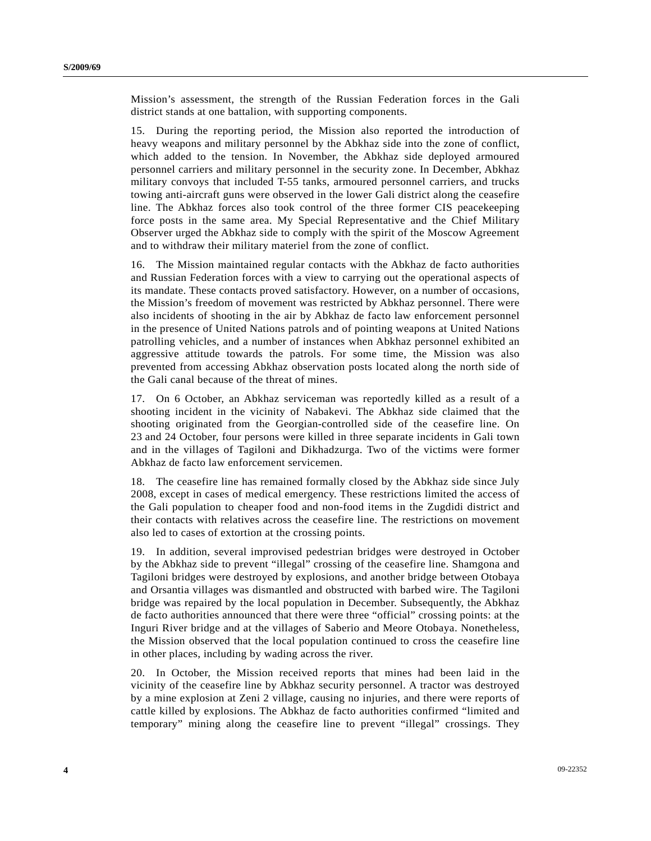Mission's assessment, the strength of the Russian Federation forces in the Gali district stands at one battalion, with supporting components.

15. During the reporting period, the Mission also reported the introduction of heavy weapons and military personnel by the Abkhaz side into the zone of conflict, which added to the tension. In November, the Abkhaz side deployed armoured personnel carriers and military personnel in the security zone. In December, Abkhaz military convoys that included T-55 tanks, armoured personnel carriers, and trucks towing anti-aircraft guns were observed in the lower Gali district along the ceasefire line. The Abkhaz forces also took control of the three former CIS peacekeeping force posts in the same area. My Special Representative and the Chief Military Observer urged the Abkhaz side to comply with the spirit of the Moscow Agreement and to withdraw their military materiel from the zone of conflict.

16. The Mission maintained regular contacts with the Abkhaz de facto authorities and Russian Federation forces with a view to carrying out the operational aspects of its mandate. These contacts proved satisfactory. However, on a number of occasions, the Mission's freedom of movement was restricted by Abkhaz personnel. There were also incidents of shooting in the air by Abkhaz de facto law enforcement personnel in the presence of United Nations patrols and of pointing weapons at United Nations patrolling vehicles, and a number of instances when Abkhaz personnel exhibited an aggressive attitude towards the patrols. For some time, the Mission was also prevented from accessing Abkhaz observation posts located along the north side of the Gali canal because of the threat of mines.

17. On 6 October, an Abkhaz serviceman was reportedly killed as a result of a shooting incident in the vicinity of Nabakevi. The Abkhaz side claimed that the shooting originated from the Georgian-controlled side of the ceasefire line. On 23 and 24 October, four persons were killed in three separate incidents in Gali town and in the villages of Tagiloni and Dikhadzurga. Two of the victims were former Abkhaz de facto law enforcement servicemen.

18. The ceasefire line has remained formally closed by the Abkhaz side since July 2008, except in cases of medical emergency. These restrictions limited the access of the Gali population to cheaper food and non-food items in the Zugdidi district and their contacts with relatives across the ceasefire line. The restrictions on movement also led to cases of extortion at the crossing points.

19. In addition, several improvised pedestrian bridges were destroyed in October by the Abkhaz side to prevent "illegal" crossing of the ceasefire line. Shamgona and Tagiloni bridges were destroyed by explosions, and another bridge between Otobaya and Orsantia villages was dismantled and obstructed with barbed wire. The Tagiloni bridge was repaired by the local population in December. Subsequently, the Abkhaz de facto authorities announced that there were three "official" crossing points: at the Inguri River bridge and at the villages of Saberio and Meore Otobaya. Nonetheless, the Mission observed that the local population continued to cross the ceasefire line in other places, including by wading across the river.

20. In October, the Mission received reports that mines had been laid in the vicinity of the ceasefire line by Abkhaz security personnel. A tractor was destroyed by a mine explosion at Zeni 2 village, causing no injuries, and there were reports of cattle killed by explosions. The Abkhaz de facto authorities confirmed "limited and temporary" mining along the ceasefire line to prevent "illegal" crossings. They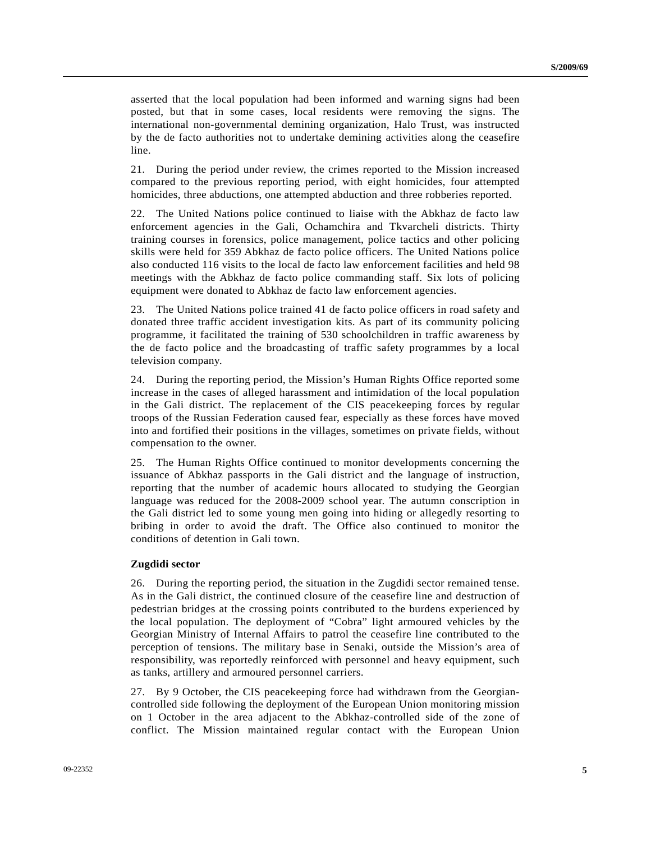asserted that the local population had been informed and warning signs had been posted, but that in some cases, local residents were removing the signs. The international non-governmental demining organization, Halo Trust, was instructed by the de facto authorities not to undertake demining activities along the ceasefire line.

21. During the period under review, the crimes reported to the Mission increased compared to the previous reporting period, with eight homicides, four attempted homicides, three abductions, one attempted abduction and three robberies reported.

22. The United Nations police continued to liaise with the Abkhaz de facto law enforcement agencies in the Gali, Ochamchira and Tkvarcheli districts. Thirty training courses in forensics, police management, police tactics and other policing skills were held for 359 Abkhaz de facto police officers. The United Nations police also conducted 116 visits to the local de facto law enforcement facilities and held 98 meetings with the Abkhaz de facto police commanding staff. Six lots of policing equipment were donated to Abkhaz de facto law enforcement agencies.

23. The United Nations police trained 41 de facto police officers in road safety and donated three traffic accident investigation kits. As part of its community policing programme, it facilitated the training of 530 schoolchildren in traffic awareness by the de facto police and the broadcasting of traffic safety programmes by a local television company.

24. During the reporting period, the Mission's Human Rights Office reported some increase in the cases of alleged harassment and intimidation of the local population in the Gali district. The replacement of the CIS peacekeeping forces by regular troops of the Russian Federation caused fear, especially as these forces have moved into and fortified their positions in the villages, sometimes on private fields, without compensation to the owner.

25. The Human Rights Office continued to monitor developments concerning the issuance of Abkhaz passports in the Gali district and the language of instruction, reporting that the number of academic hours allocated to studying the Georgian language was reduced for the 2008-2009 school year. The autumn conscription in the Gali district led to some young men going into hiding or allegedly resorting to bribing in order to avoid the draft. The Office also continued to monitor the conditions of detention in Gali town.

### **Zugdidi sector**

26. During the reporting period, the situation in the Zugdidi sector remained tense. As in the Gali district, the continued closure of the ceasefire line and destruction of pedestrian bridges at the crossing points contributed to the burdens experienced by the local population. The deployment of "Cobra" light armoured vehicles by the Georgian Ministry of Internal Affairs to patrol the ceasefire line contributed to the perception of tensions. The military base in Senaki, outside the Mission's area of responsibility, was reportedly reinforced with personnel and heavy equipment, such as tanks, artillery and armoured personnel carriers.

27. By 9 October, the CIS peacekeeping force had withdrawn from the Georgiancontrolled side following the deployment of the European Union monitoring mission on 1 October in the area adjacent to the Abkhaz-controlled side of the zone of conflict. The Mission maintained regular contact with the European Union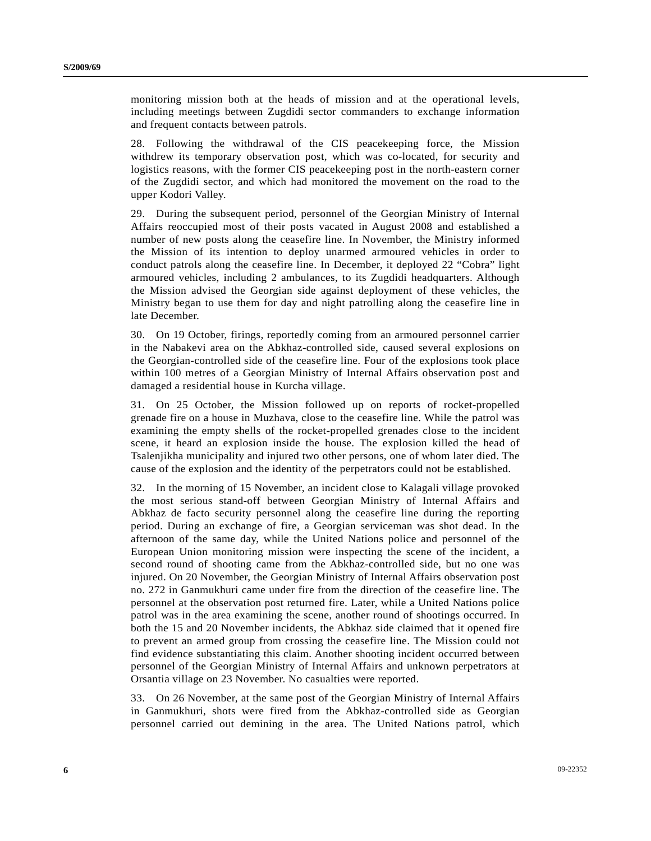monitoring mission both at the heads of mission and at the operational levels, including meetings between Zugdidi sector commanders to exchange information and frequent contacts between patrols.

28. Following the withdrawal of the CIS peacekeeping force, the Mission withdrew its temporary observation post, which was co-located, for security and logistics reasons, with the former CIS peacekeeping post in the north-eastern corner of the Zugdidi sector, and which had monitored the movement on the road to the upper Kodori Valley.

29. During the subsequent period, personnel of the Georgian Ministry of Internal Affairs reoccupied most of their posts vacated in August 2008 and established a number of new posts along the ceasefire line. In November, the Ministry informed the Mission of its intention to deploy unarmed armoured vehicles in order to conduct patrols along the ceasefire line. In December, it deployed 22 "Cobra" light armoured vehicles, including 2 ambulances, to its Zugdidi headquarters. Although the Mission advised the Georgian side against deployment of these vehicles, the Ministry began to use them for day and night patrolling along the ceasefire line in late December.

30. On 19 October, firings, reportedly coming from an armoured personnel carrier in the Nabakevi area on the Abkhaz-controlled side, caused several explosions on the Georgian-controlled side of the ceasefire line. Four of the explosions took place within 100 metres of a Georgian Ministry of Internal Affairs observation post and damaged a residential house in Kurcha village.

31. On 25 October, the Mission followed up on reports of rocket-propelled grenade fire on a house in Muzhava, close to the ceasefire line. While the patrol was examining the empty shells of the rocket-propelled grenades close to the incident scene, it heard an explosion inside the house. The explosion killed the head of Tsalenjikha municipality and injured two other persons, one of whom later died. The cause of the explosion and the identity of the perpetrators could not be established.

32. In the morning of 15 November, an incident close to Kalagali village provoked the most serious stand-off between Georgian Ministry of Internal Affairs and Abkhaz de facto security personnel along the ceasefire line during the reporting period. During an exchange of fire, a Georgian serviceman was shot dead. In the afternoon of the same day, while the United Nations police and personnel of the European Union monitoring mission were inspecting the scene of the incident, a second round of shooting came from the Abkhaz-controlled side, but no one was injured. On 20 November, the Georgian Ministry of Internal Affairs observation post no. 272 in Ganmukhuri came under fire from the direction of the ceasefire line. The personnel at the observation post returned fire. Later, while a United Nations police patrol was in the area examining the scene, another round of shootings occurred. In both the 15 and 20 November incidents, the Abkhaz side claimed that it opened fire to prevent an armed group from crossing the ceasefire line. The Mission could not find evidence substantiating this claim. Another shooting incident occurred between personnel of the Georgian Ministry of Internal Affairs and unknown perpetrators at Orsantia village on 23 November. No casualties were reported.

33. On 26 November, at the same post of the Georgian Ministry of Internal Affairs in Ganmukhuri, shots were fired from the Abkhaz-controlled side as Georgian personnel carried out demining in the area. The United Nations patrol, which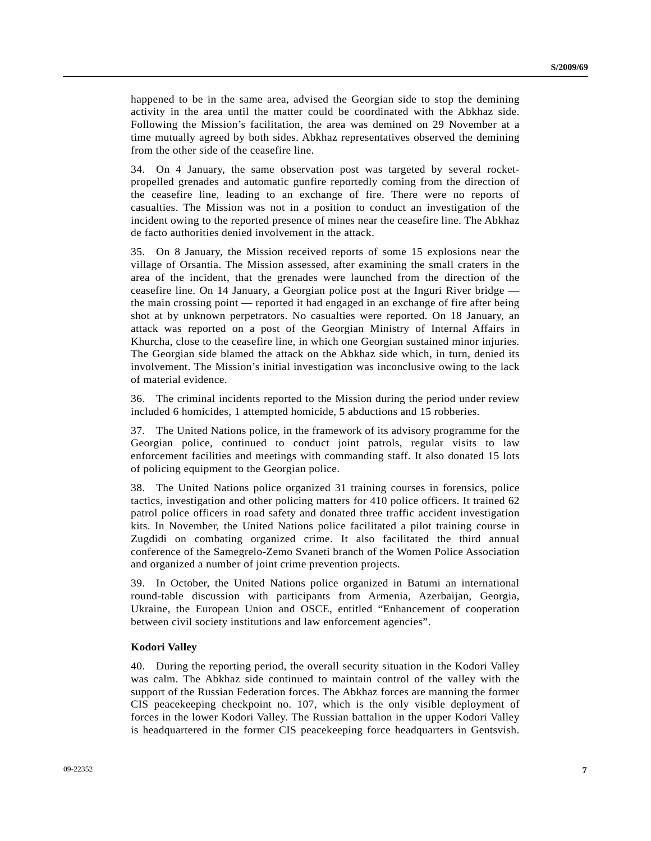happened to be in the same area, advised the Georgian side to stop the demining activity in the area until the matter could be coordinated with the Abkhaz side. Following the Mission's facilitation, the area was demined on 29 November at a time mutually agreed by both sides. Abkhaz representatives observed the demining from the other side of the ceasefire line.

34. On 4 January, the same observation post was targeted by several rocketpropelled grenades and automatic gunfire reportedly coming from the direction of the ceasefire line, leading to an exchange of fire. There were no reports of casualties. The Mission was not in a position to conduct an investigation of the incident owing to the reported presence of mines near the ceasefire line. The Abkhaz de facto authorities denied involvement in the attack.

35. On 8 January, the Mission received reports of some 15 explosions near the village of Orsantia. The Mission assessed, after examining the small craters in the area of the incident, that the grenades were launched from the direction of the ceasefire line. On 14 January, a Georgian police post at the Inguri River bridge the main crossing point — reported it had engaged in an exchange of fire after being shot at by unknown perpetrators. No casualties were reported. On 18 January, an attack was reported on a post of the Georgian Ministry of Internal Affairs in Khurcha, close to the ceasefire line, in which one Georgian sustained minor injuries. The Georgian side blamed the attack on the Abkhaz side which, in turn, denied its involvement. The Mission's initial investigation was inconclusive owing to the lack of material evidence.

36. The criminal incidents reported to the Mission during the period under review included 6 homicides, 1 attempted homicide, 5 abductions and 15 robberies.

37. The United Nations police, in the framework of its advisory programme for the Georgian police, continued to conduct joint patrols, regular visits to law enforcement facilities and meetings with commanding staff. It also donated 15 lots of policing equipment to the Georgian police.

38. The United Nations police organized 31 training courses in forensics, police tactics, investigation and other policing matters for 410 police officers. It trained 62 patrol police officers in road safety and donated three traffic accident investigation kits. In November, the United Nations police facilitated a pilot training course in Zugdidi on combating organized crime. It also facilitated the third annual conference of the Samegrelo-Zemo Svaneti branch of the Women Police Association and organized a number of joint crime prevention projects.

39. In October, the United Nations police organized in Batumi an international round-table discussion with participants from Armenia, Azerbaijan, Georgia, Ukraine, the European Union and OSCE, entitled "Enhancement of cooperation between civil society institutions and law enforcement agencies".

### **Kodori Valley**

40. During the reporting period, the overall security situation in the Kodori Valley was calm. The Abkhaz side continued to maintain control of the valley with the support of the Russian Federation forces. The Abkhaz forces are manning the former CIS peacekeeping checkpoint no. 107, which is the only visible deployment of forces in the lower Kodori Valley. The Russian battalion in the upper Kodori Valley is headquartered in the former CIS peacekeeping force headquarters in Gentsvish.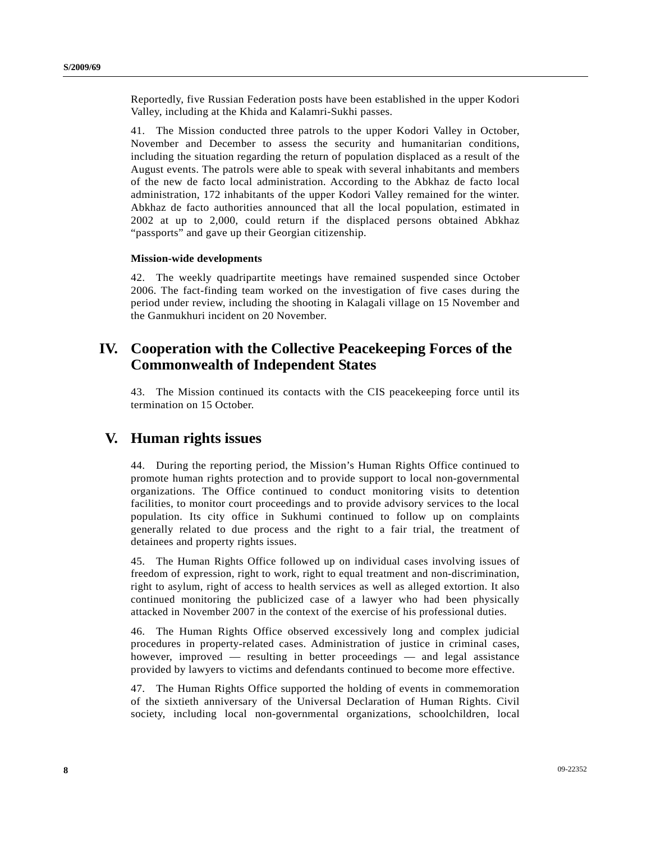Reportedly, five Russian Federation posts have been established in the upper Kodori Valley, including at the Khida and Kalamri-Sukhi passes.

41. The Mission conducted three patrols to the upper Kodori Valley in October, November and December to assess the security and humanitarian conditions, including the situation regarding the return of population displaced as a result of the August events. The patrols were able to speak with several inhabitants and members of the new de facto local administration. According to the Abkhaz de facto local administration, 172 inhabitants of the upper Kodori Valley remained for the winter. Abkhaz de facto authorities announced that all the local population, estimated in 2002 at up to 2,000, could return if the displaced persons obtained Abkhaz "passports" and gave up their Georgian citizenship.

### **Mission-wide developments**

42. The weekly quadripartite meetings have remained suspended since October 2006. The fact-finding team worked on the investigation of five cases during the period under review, including the shooting in Kalagali village on 15 November and the Ganmukhuri incident on 20 November.

# **IV. Cooperation with the Collective Peacekeeping Forces of the Commonwealth of Independent States**

43. The Mission continued its contacts with the CIS peacekeeping force until its termination on 15 October.

### **V. Human rights issues**

44. During the reporting period, the Mission's Human Rights Office continued to promote human rights protection and to provide support to local non-governmental organizations. The Office continued to conduct monitoring visits to detention facilities, to monitor court proceedings and to provide advisory services to the local population. Its city office in Sukhumi continued to follow up on complaints generally related to due process and the right to a fair trial, the treatment of detainees and property rights issues.

45. The Human Rights Office followed up on individual cases involving issues of freedom of expression, right to work, right to equal treatment and non-discrimination, right to asylum, right of access to health services as well as alleged extortion. It also continued monitoring the publicized case of a lawyer who had been physically attacked in November 2007 in the context of the exercise of his professional duties.

46. The Human Rights Office observed excessively long and complex judicial procedures in property-related cases. Administration of justice in criminal cases, however, improved — resulting in better proceedings — and legal assistance provided by lawyers to victims and defendants continued to become more effective.

47. The Human Rights Office supported the holding of events in commemoration of the sixtieth anniversary of the Universal Declaration of Human Rights. Civil society, including local non-governmental organizations, schoolchildren, local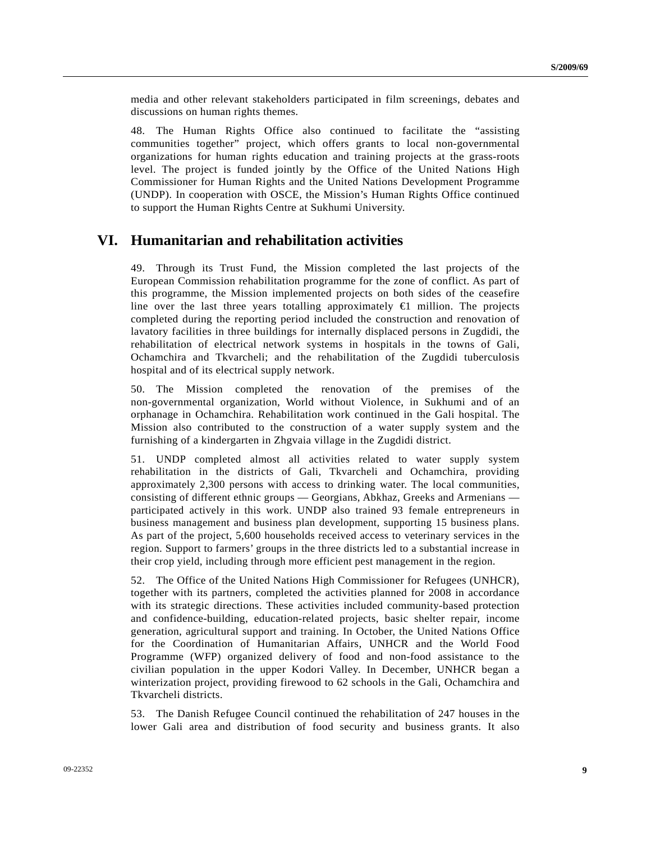media and other relevant stakeholders participated in film screenings, debates and discussions on human rights themes.

48. The Human Rights Office also continued to facilitate the "assisting communities together" project, which offers grants to local non-governmental organizations for human rights education and training projects at the grass-roots level. The project is funded jointly by the Office of the United Nations High Commissioner for Human Rights and the United Nations Development Programme (UNDP). In cooperation with OSCE, the Mission's Human Rights Office continued to support the Human Rights Centre at Sukhumi University.

## **VI. Humanitarian and rehabilitation activities**

49. Through its Trust Fund, the Mission completed the last projects of the European Commission rehabilitation programme for the zone of conflict. As part of this programme, the Mission implemented projects on both sides of the ceasefire line over the last three years totalling approximately  $\bigoplus$  million. The projects completed during the reporting period included the construction and renovation of lavatory facilities in three buildings for internally displaced persons in Zugdidi, the rehabilitation of electrical network systems in hospitals in the towns of Gali, Ochamchira and Tkvarcheli; and the rehabilitation of the Zugdidi tuberculosis hospital and of its electrical supply network.

50. The Mission completed the renovation of the premises of the non-governmental organization, World without Violence, in Sukhumi and of an orphanage in Ochamchira. Rehabilitation work continued in the Gali hospital. The Mission also contributed to the construction of a water supply system and the furnishing of a kindergarten in Zhgvaia village in the Zugdidi district.

51. UNDP completed almost all activities related to water supply system rehabilitation in the districts of Gali, Tkvarcheli and Ochamchira, providing approximately 2,300 persons with access to drinking water. The local communities, consisting of different ethnic groups — Georgians, Abkhaz, Greeks and Armenians participated actively in this work. UNDP also trained 93 female entrepreneurs in business management and business plan development, supporting 15 business plans. As part of the project, 5,600 households received access to veterinary services in the region. Support to farmers' groups in the three districts led to a substantial increase in their crop yield, including through more efficient pest management in the region.

52. The Office of the United Nations High Commissioner for Refugees (UNHCR), together with its partners, completed the activities planned for 2008 in accordance with its strategic directions. These activities included community-based protection and confidence-building, education-related projects, basic shelter repair, income generation, agricultural support and training. In October, the United Nations Office for the Coordination of Humanitarian Affairs, UNHCR and the World Food Programme (WFP) organized delivery of food and non-food assistance to the civilian population in the upper Kodori Valley. In December, UNHCR began a winterization project, providing firewood to 62 schools in the Gali, Ochamchira and Tkvarcheli districts.

53. The Danish Refugee Council continued the rehabilitation of 247 houses in the lower Gali area and distribution of food security and business grants. It also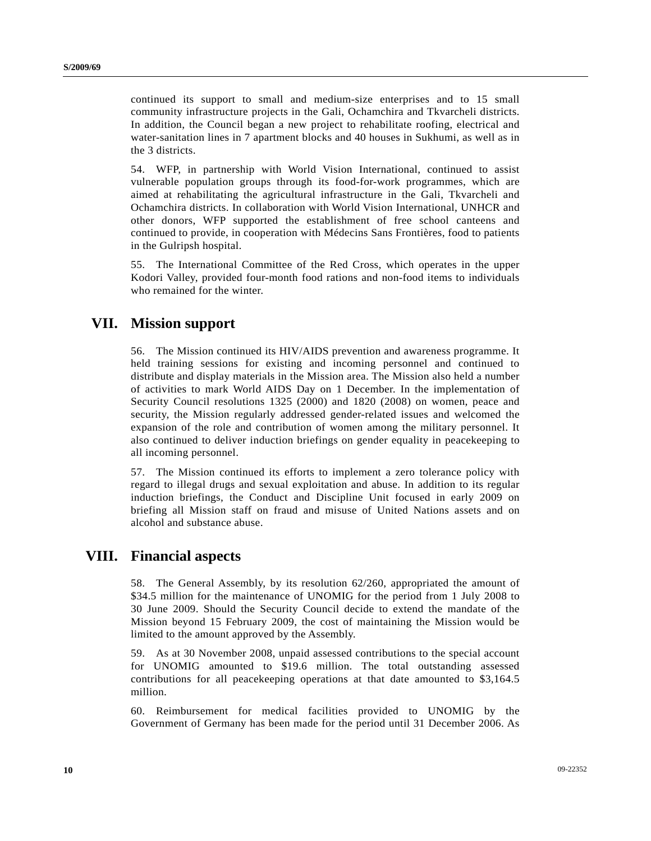continued its support to small and medium-size enterprises and to 15 small community infrastructure projects in the Gali, Ochamchira and Tkvarcheli districts. In addition, the Council began a new project to rehabilitate roofing, electrical and water-sanitation lines in 7 apartment blocks and 40 houses in Sukhumi, as well as in the 3 districts.

54. WFP, in partnership with World Vision International, continued to assist vulnerable population groups through its food-for-work programmes, which are aimed at rehabilitating the agricultural infrastructure in the Gali, Tkvarcheli and Ochamchira districts. In collaboration with World Vision International, UNHCR and other donors, WFP supported the establishment of free school canteens and continued to provide, in cooperation with Médecins Sans Frontières, food to patients in the Gulripsh hospital.

55. The International Committee of the Red Cross, which operates in the upper Kodori Valley, provided four-month food rations and non-food items to individuals who remained for the winter.

## **VII. Mission support**

56. The Mission continued its HIV/AIDS prevention and awareness programme. It held training sessions for existing and incoming personnel and continued to distribute and display materials in the Mission area. The Mission also held a number of activities to mark World AIDS Day on 1 December. In the implementation of Security Council resolutions 1325 (2000) and 1820 (2008) on women, peace and security, the Mission regularly addressed gender-related issues and welcomed the expansion of the role and contribution of women among the military personnel. It also continued to deliver induction briefings on gender equality in peacekeeping to all incoming personnel.

57. The Mission continued its efforts to implement a zero tolerance policy with regard to illegal drugs and sexual exploitation and abuse. In addition to its regular induction briefings, the Conduct and Discipline Unit focused in early 2009 on briefing all Mission staff on fraud and misuse of United Nations assets and on alcohol and substance abuse.

## **VIII. Financial aspects**

58. The General Assembly, by its resolution 62/260, appropriated the amount of \$34.5 million for the maintenance of UNOMIG for the period from 1 July 2008 to 30 June 2009. Should the Security Council decide to extend the mandate of the Mission beyond 15 February 2009, the cost of maintaining the Mission would be limited to the amount approved by the Assembly.

59. As at 30 November 2008, unpaid assessed contributions to the special account for UNOMIG amounted to \$19.6 million. The total outstanding assessed contributions for all peacekeeping operations at that date amounted to \$3,164.5 million.

60. Reimbursement for medical facilities provided to UNOMIG by the Government of Germany has been made for the period until 31 December 2006. As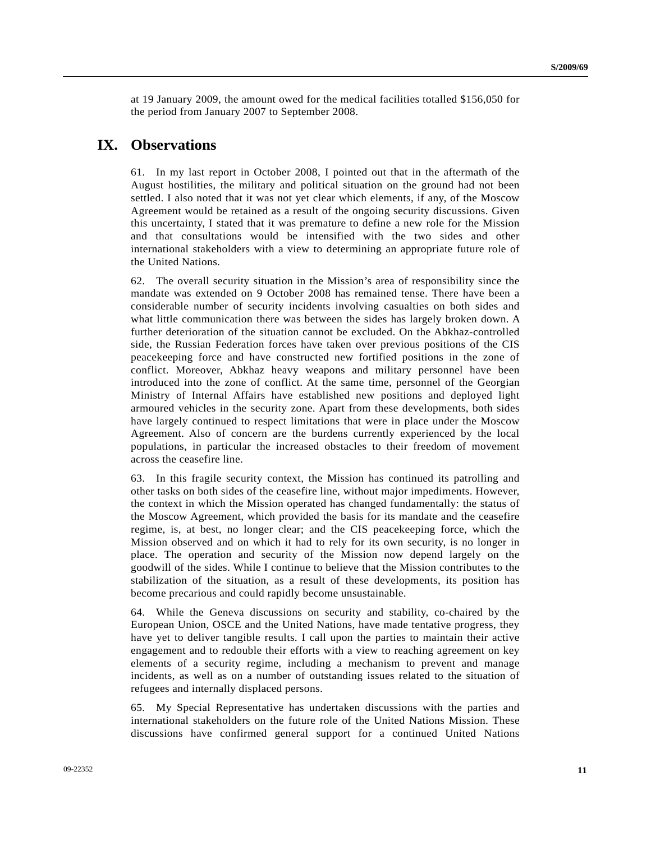at 19 January 2009, the amount owed for the medical facilities totalled \$156,050 for the period from January 2007 to September 2008.

## **IX. Observations**

61. In my last report in October 2008, I pointed out that in the aftermath of the August hostilities, the military and political situation on the ground had not been settled. I also noted that it was not yet clear which elements, if any, of the Moscow Agreement would be retained as a result of the ongoing security discussions. Given this uncertainty, I stated that it was premature to define a new role for the Mission and that consultations would be intensified with the two sides and other international stakeholders with a view to determining an appropriate future role of the United Nations.

62. The overall security situation in the Mission's area of responsibility since the mandate was extended on 9 October 2008 has remained tense. There have been a considerable number of security incidents involving casualties on both sides and what little communication there was between the sides has largely broken down. A further deterioration of the situation cannot be excluded. On the Abkhaz-controlled side, the Russian Federation forces have taken over previous positions of the CIS peacekeeping force and have constructed new fortified positions in the zone of conflict. Moreover, Abkhaz heavy weapons and military personnel have been introduced into the zone of conflict. At the same time, personnel of the Georgian Ministry of Internal Affairs have established new positions and deployed light armoured vehicles in the security zone. Apart from these developments, both sides have largely continued to respect limitations that were in place under the Moscow Agreement. Also of concern are the burdens currently experienced by the local populations, in particular the increased obstacles to their freedom of movement across the ceasefire line.

63. In this fragile security context, the Mission has continued its patrolling and other tasks on both sides of the ceasefire line, without major impediments. However, the context in which the Mission operated has changed fundamentally: the status of the Moscow Agreement, which provided the basis for its mandate and the ceasefire regime, is, at best, no longer clear; and the CIS peacekeeping force, which the Mission observed and on which it had to rely for its own security, is no longer in place. The operation and security of the Mission now depend largely on the goodwill of the sides. While I continue to believe that the Mission contributes to the stabilization of the situation, as a result of these developments, its position has become precarious and could rapidly become unsustainable.

64. While the Geneva discussions on security and stability, co-chaired by the European Union, OSCE and the United Nations, have made tentative progress, they have yet to deliver tangible results. I call upon the parties to maintain their active engagement and to redouble their efforts with a view to reaching agreement on key elements of a security regime, including a mechanism to prevent and manage incidents, as well as on a number of outstanding issues related to the situation of refugees and internally displaced persons.

65. My Special Representative has undertaken discussions with the parties and international stakeholders on the future role of the United Nations Mission. These discussions have confirmed general support for a continued United Nations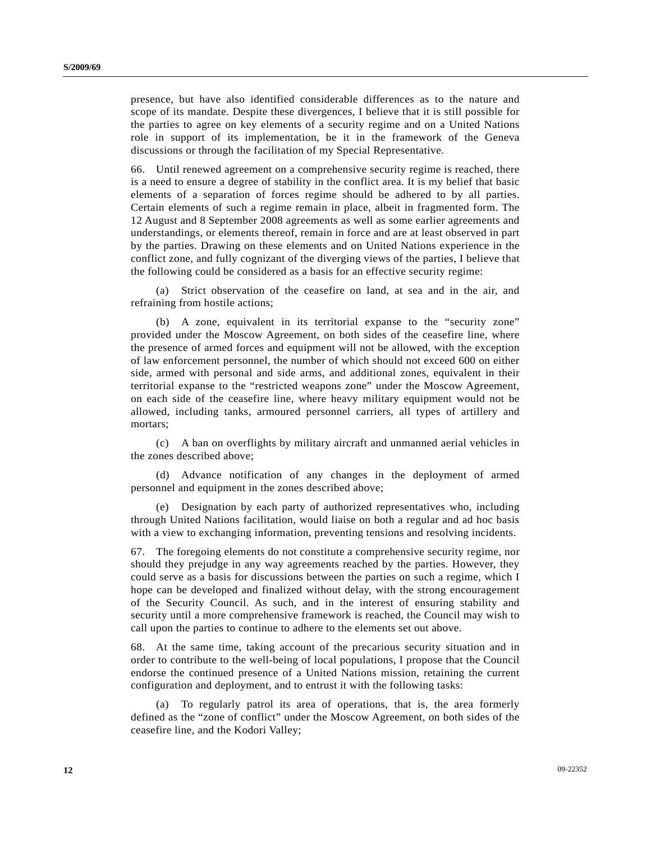presence, but have also identified considerable differences as to the nature and scope of its mandate. Despite these divergences, I believe that it is still possible for the parties to agree on key elements of a security regime and on a United Nations role in support of its implementation, be it in the framework of the Geneva discussions or through the facilitation of my Special Representative.

66. Until renewed agreement on a comprehensive security regime is reached, there is a need to ensure a degree of stability in the conflict area. It is my belief that basic elements of a separation of forces regime should be adhered to by all parties. Certain elements of such a regime remain in place, albeit in fragmented form. The 12 August and 8 September 2008 agreements as well as some earlier agreements and understandings, or elements thereof, remain in force and are at least observed in part by the parties. Drawing on these elements and on United Nations experience in the conflict zone, and fully cognizant of the diverging views of the parties, I believe that the following could be considered as a basis for an effective security regime:

 (a) Strict observation of the ceasefire on land, at sea and in the air, and refraining from hostile actions;

 (b) A zone, equivalent in its territorial expanse to the "security zone" provided under the Moscow Agreement, on both sides of the ceasefire line, where the presence of armed forces and equipment will not be allowed, with the exception of law enforcement personnel, the number of which should not exceed 600 on either side, armed with personal and side arms, and additional zones, equivalent in their territorial expanse to the "restricted weapons zone" under the Moscow Agreement, on each side of the ceasefire line, where heavy military equipment would not be allowed, including tanks, armoured personnel carriers, all types of artillery and mortars;

 (c) A ban on overflights by military aircraft and unmanned aerial vehicles in the zones described above;

 (d) Advance notification of any changes in the deployment of armed personnel and equipment in the zones described above;

 (e) Designation by each party of authorized representatives who, including through United Nations facilitation, would liaise on both a regular and ad hoc basis with a view to exchanging information, preventing tensions and resolving incidents.

67. The foregoing elements do not constitute a comprehensive security regime, nor should they prejudge in any way agreements reached by the parties. However, they could serve as a basis for discussions between the parties on such a regime, which I hope can be developed and finalized without delay, with the strong encouragement of the Security Council. As such, and in the interest of ensuring stability and security until a more comprehensive framework is reached, the Council may wish to call upon the parties to continue to adhere to the elements set out above.

68. At the same time, taking account of the precarious security situation and in order to contribute to the well-being of local populations, I propose that the Council endorse the continued presence of a United Nations mission, retaining the current configuration and deployment, and to entrust it with the following tasks:

 (a) To regularly patrol its area of operations, that is, the area formerly defined as the "zone of conflict" under the Moscow Agreement, on both sides of the ceasefire line, and the Kodori Valley;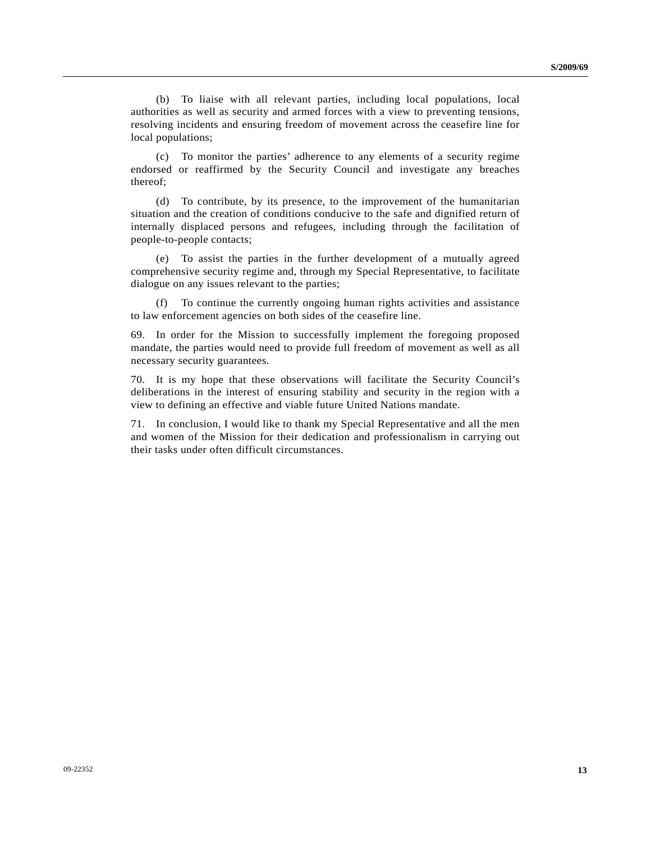(b) To liaise with all relevant parties, including local populations, local authorities as well as security and armed forces with a view to preventing tensions, resolving incidents and ensuring freedom of movement across the ceasefire line for local populations;

 (c) To monitor the parties' adherence to any elements of a security regime endorsed or reaffirmed by the Security Council and investigate any breaches thereof;

 (d) To contribute, by its presence, to the improvement of the humanitarian situation and the creation of conditions conducive to the safe and dignified return of internally displaced persons and refugees, including through the facilitation of people-to-people contacts;

 (e) To assist the parties in the further development of a mutually agreed comprehensive security regime and, through my Special Representative, to facilitate dialogue on any issues relevant to the parties;

 (f) To continue the currently ongoing human rights activities and assistance to law enforcement agencies on both sides of the ceasefire line.

69. In order for the Mission to successfully implement the foregoing proposed mandate, the parties would need to provide full freedom of movement as well as all necessary security guarantees.

70. It is my hope that these observations will facilitate the Security Council's deliberations in the interest of ensuring stability and security in the region with a view to defining an effective and viable future United Nations mandate.

71. In conclusion, I would like to thank my Special Representative and all the men and women of the Mission for their dedication and professionalism in carrying out their tasks under often difficult circumstances.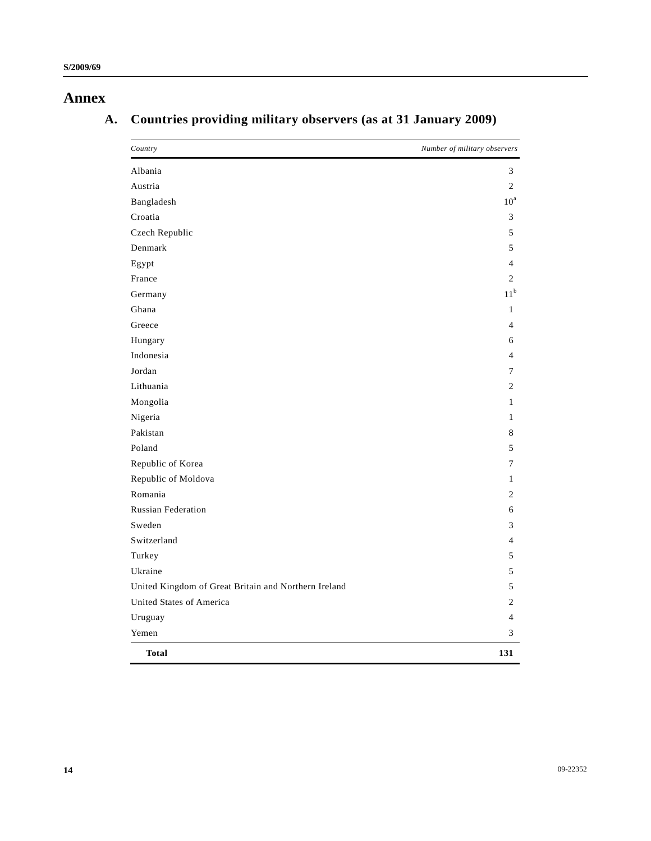# **Annex**

# **A. Countries providing military observers (as at 31 January 2009)**

| Country                                              | Number of military observers |
|------------------------------------------------------|------------------------------|
| Albania                                              | 3                            |
| Austria                                              | 2                            |
| Bangladesh                                           | $10^a$                       |
| Croatia                                              | 3                            |
| Czech Republic                                       | 5                            |
| Denmark                                              | 5                            |
| Egypt                                                | 4                            |
| France                                               | 2                            |
| Germany                                              | $11^{\rm b}$                 |
| Ghana                                                | $\mathbf{1}$                 |
| Greece                                               | $\overline{4}$               |
| Hungary                                              | 6                            |
| Indonesia                                            | 4                            |
| Jordan                                               | 7                            |
| Lithuania                                            | 2                            |
| Mongolia                                             | $\mathbf{1}$                 |
| Nigeria                                              | 1                            |
| Pakistan                                             | 8                            |
| Poland                                               | 5                            |
| Republic of Korea                                    | 7                            |
| Republic of Moldova                                  | $\mathbf{1}$                 |
| Romania                                              | 2                            |
| <b>Russian Federation</b>                            | 6                            |
| Sweden                                               | 3                            |
| Switzerland                                          | $\overline{4}$               |
| Turkey                                               | 5                            |
| Ukraine                                              | 5                            |
| United Kingdom of Great Britain and Northern Ireland | 5                            |
| United States of America                             | 2                            |
| Uruguay                                              | $\overline{4}$               |
| Yemen                                                | 3                            |
| <b>Total</b>                                         | 131                          |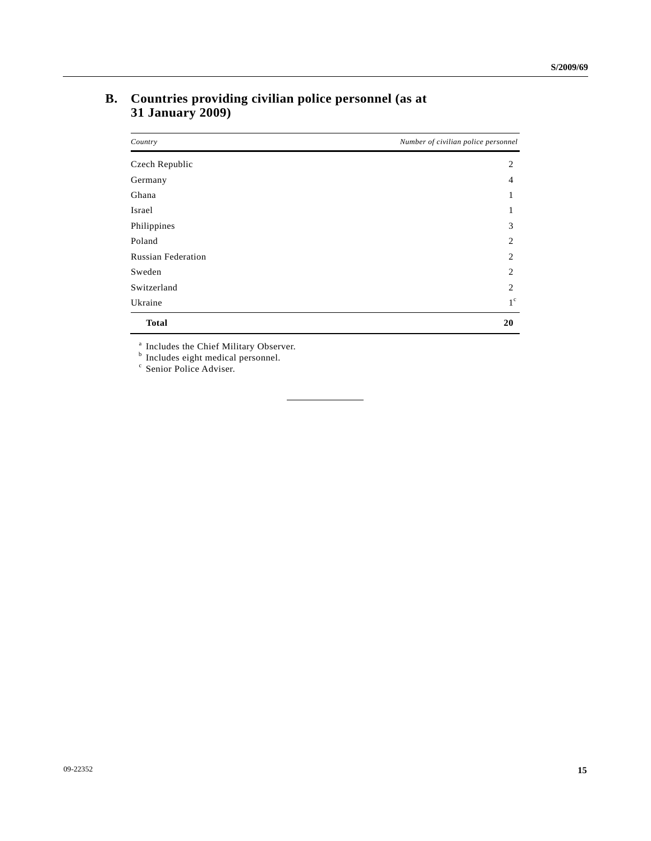| Country                   | Number of civilian police personnel |
|---------------------------|-------------------------------------|
| Czech Republic            | 2                                   |
| Germany                   | 4                                   |
| Ghana                     | 1                                   |
| Israel                    | 1                                   |
| Philippines               | 3                                   |
| Poland                    | 2                                   |
| <b>Russian Federation</b> | 2                                   |
| Sweden                    | 2                                   |
| Switzerland               | 2                                   |
| Ukraine                   | $1^{\circ}$                         |
| <b>Total</b>              | 20                                  |

## **B. Countries providing civilian police personnel (as at 31 January 2009)**

<sup>a</sup> Includes the Chief Military Observer.<br><sup>b</sup> Includes eight medical personnel.<br><sup>c</sup> Senior Police Adviser.